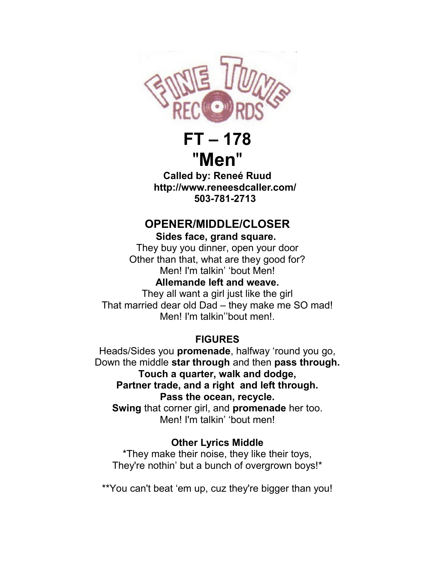

# **FT – 178** "**Men**"

**Called by: Reneé Ruud http://www.reneesdcaller.com/ 503-781-2713**

## **OPENER/MIDDLE/CLOSER**

**Sides face, grand square.** 

They buy you dinner, open your door Other than that, what are they good for? Men! I'm talkin' 'bout Men!

#### **Allemande left and weave.**

They all want a girl just like the girl That married dear old Dad – they make me SO mad! Men! I'm talkin''bout men!.

#### **FIGURES**

Heads/Sides you **promenade**, halfway 'round you go, Down the middle **star through** and then **pass through. Touch a quarter, walk and dodge, Partner trade, and a right and left through. Pass the ocean, recycle. Swing** that corner girl, and **promenade** her too. Men! I'm talkin' 'bout men!

### **Other Lyrics Middle**

\*They make their noise, they like their toys, They're nothin' but a bunch of overgrown boys!\*

\*\*You can't beat 'em up, cuz they're bigger than you!